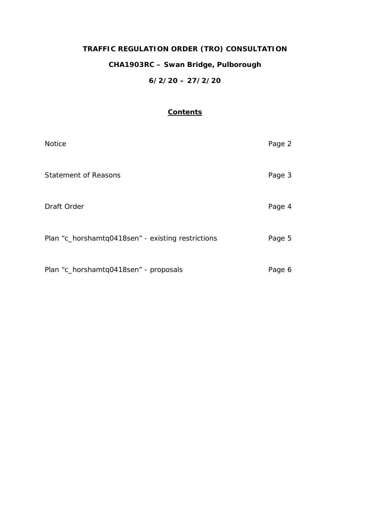# **TRAFFIC REGULATION ORDER (TRO) CONSULTATION CHA1903RC – Swan Bridge, Pulborough 6/2/20 – 27/2/20**

# **Contents**

| <b>Notice</b>                                     | Page 2 |
|---------------------------------------------------|--------|
| <b>Statement of Reasons</b>                       | Page 3 |
| Draft Order                                       | Page 4 |
| Plan "c_horshamtq0418sen" - existing restrictions | Page 5 |
| Plan "c_horshamtq0418sen" - proposals             | Page 6 |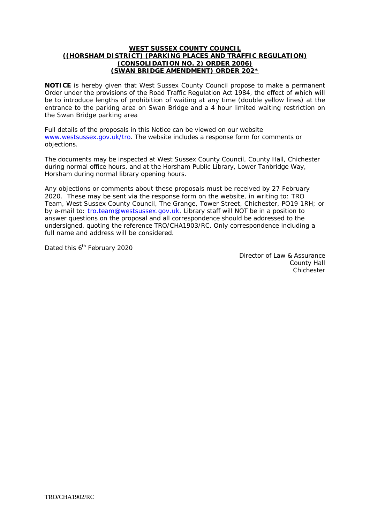#### **WEST SUSSEX COUNTY COUNCIL ((HORSHAM DISTRICT) (PARKING PLACES AND TRAFFIC REGULATION) (CONSOLIDATION NO. 2) ORDER 2006) (SWAN BRIDGE AMENDMENT) ORDER 202\***

**NOTICE** is hereby given that West Sussex County Council propose to make a permanent Order under the provisions of the Road Traffic Regulation Act 1984, the effect of which will be to introduce lengths of prohibition of waiting at any time (double yellow lines) at the entrance to the parking area on Swan Bridge and a 4 hour limited waiting restriction on the Swan Bridge parking area

Full details of the proposals in this Notice can be viewed on our website [www.westsussex.gov.uk/tro.](http://www.westsussex.gov.uk/tro) The website includes a response form for comments or objections.

The documents may be inspected at West Sussex County Council, County Hall, Chichester during normal office hours, and at the Horsham Public Library, Lower Tanbridge Way, Horsham during normal library opening hours.

Any objections or comments about these proposals must be received by 27 February 2020. These may be sent via the response form on the website, in writing to: TRO Team, West Sussex County Council, The Grange, Tower Street, Chichester, PO19 1RH; or by e-mail to: [tro.team@westsussex.gov.uk.](mailto:tro.team@westsussex.gov.uk) Library staff will NOT be in a position to answer questions on the proposal and all correspondence should be addressed to the undersigned, quoting the reference TRO/CHA1903/RC. Only correspondence including a full name and address will be considered.

Dated this 6<sup>th</sup> February 2020

Director of Law & Assurance County Hall **Chichester**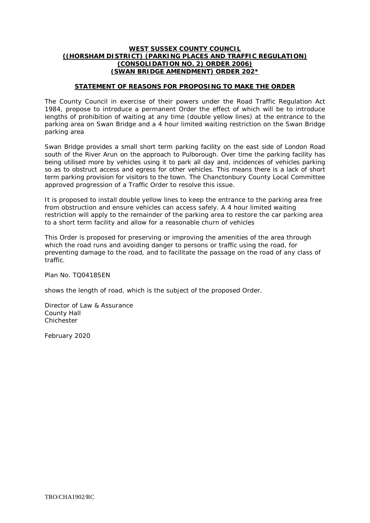### **WEST SUSSEX COUNTY COUNCIL ((HORSHAM DISTRICT) (PARKING PLACES AND TRAFFIC REGULATION) (CONSOLIDATION NO. 2) ORDER 2006) (SWAN BRIDGE AMENDMENT) ORDER 202\***

## **STATEMENT OF REASONS FOR PROPOSING TO MAKE THE ORDER**

The County Council in exercise of their powers under the Road Traffic Regulation Act 1984, propose to introduce a permanent Order the effect of which will be to introduce lengths of prohibition of waiting at any time (double yellow lines) at the entrance to the parking area on Swan Bridge and a 4 hour limited waiting restriction on the Swan Bridge parking area

Swan Bridge provides a small short term parking facility on the east side of London Road south of the River Arun on the approach to Pulborough. Over time the parking facility has being utilised more by vehicles using it to park all day and, incidences of vehicles parking so as to obstruct access and egress for other vehicles. This means there is a lack of short term parking provision for visitors to the town. The Chanctonbury County Local Committee approved progression of a Traffic Order to resolve this issue.

It is proposed to install double yellow lines to keep the entrance to the parking area free from obstruction and ensure vehicles can access safely. A 4 hour limited waiting restriction will apply to the remainder of the parking area to restore the car parking area to a short term facility and allow for a reasonable churn of vehicles

This Order is proposed for preserving or improving the amenities of the area through which the road runs and avoiding danger to persons or traffic using the road, for preventing damage to the road, and to facilitate the passage on the road of any class of traffic.

Plan No. TQ0418SEN

shows the length of road, which is the subject of the proposed Order.

Director of Law & Assurance County Hall Chichester

February 2020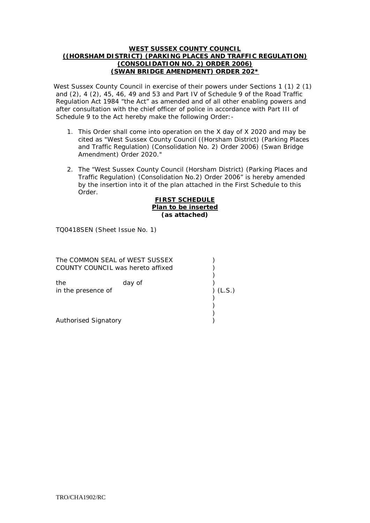### **WEST SUSSEX COUNTY COUNCIL ((HORSHAM DISTRICT) (PARKING PLACES AND TRAFFIC REGULATION) (CONSOLIDATION NO. 2) ORDER 2006) (SWAN BRIDGE AMENDMENT) ORDER 202\***

West Sussex County Council in exercise of their powers under Sections 1 (1) 2 (1) and (2), 4 (2), 45, 46, 49 and 53 and Part IV of Schedule 9 of the Road Traffic Regulation Act 1984 "the Act" as amended and of all other enabling powers and after consultation with the chief officer of police in accordance with Part III of Schedule 9 to the Act hereby make the following Order:-

- 1. This Order shall come into operation on the X day of X 2020 and may be cited as "West Sussex County Council ((Horsham District) (Parking Places and Traffic Regulation) (Consolidation No. 2) Order 2006) (Swan Bridge Amendment) Order 2020."
- 2. The "West Sussex County Council (Horsham District) (Parking Places and Traffic Regulation) (Consolidation No.2) Order 2006" is hereby amended by the insertion into it of the plan attached in the First Schedule to this Order.

#### **FIRST SCHEDULE Plan to be inserted (as attached)**

TQ0418SEN (Sheet Issue No. 1)

| The COMMON SEAL of WEST SUSSEX<br>COUNTY COUNCIL was hereto affixed |        |        |
|---------------------------------------------------------------------|--------|--------|
| the<br>in the presence of                                           | day of | (L.S.) |
| Authorised Signatory                                                |        |        |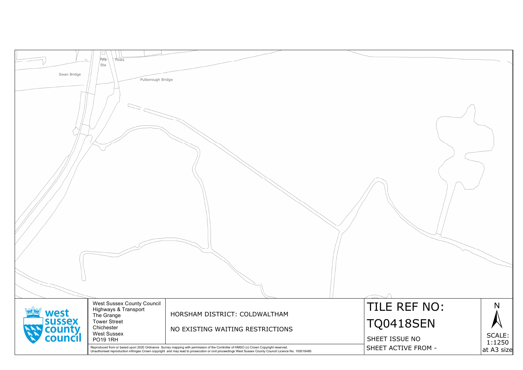|                                        | □                          |                                                                                                                                                                                                                                   |                 |
|----------------------------------------|----------------------------|-----------------------------------------------------------------------------------------------------------------------------------------------------------------------------------------------------------------------------------|-----------------|
| $\bigcap$                              | Pppg<br>Posts              |                                                                                                                                                                                                                                   |                 |
|                                        | Sta                        |                                                                                                                                                                                                                                   |                 |
| Swan Bridge                            |                            |                                                                                                                                                                                                                                   |                 |
|                                        | Pulborough Bridge          |                                                                                                                                                                                                                                   |                 |
|                                        |                            |                                                                                                                                                                                                                                   |                 |
|                                        |                            |                                                                                                                                                                                                                                   |                 |
|                                        |                            |                                                                                                                                                                                                                                   |                 |
|                                        |                            |                                                                                                                                                                                                                                   |                 |
|                                        |                            |                                                                                                                                                                                                                                   |                 |
|                                        |                            |                                                                                                                                                                                                                                   |                 |
|                                        |                            |                                                                                                                                                                                                                                   |                 |
|                                        |                            |                                                                                                                                                                                                                                   |                 |
|                                        |                            |                                                                                                                                                                                                                                   |                 |
|                                        |                            |                                                                                                                                                                                                                                   |                 |
|                                        |                            |                                                                                                                                                                                                                                   |                 |
|                                        |                            |                                                                                                                                                                                                                                   |                 |
|                                        |                            |                                                                                                                                                                                                                                   |                 |
|                                        |                            |                                                                                                                                                                                                                                   |                 |
|                                        |                            |                                                                                                                                                                                                                                   |                 |
|                                        |                            |                                                                                                                                                                                                                                   |                 |
|                                        |                            |                                                                                                                                                                                                                                   |                 |
|                                        |                            |                                                                                                                                                                                                                                   |                 |
|                                        |                            |                                                                                                                                                                                                                                   |                 |
|                                        |                            |                                                                                                                                                                                                                                   |                 |
|                                        |                            |                                                                                                                                                                                                                                   |                 |
|                                        |                            |                                                                                                                                                                                                                                   |                 |
|                                        |                            |                                                                                                                                                                                                                                   |                 |
|                                        |                            |                                                                                                                                                                                                                                   |                 |
|                                        |                            |                                                                                                                                                                                                                                   |                 |
|                                        |                            |                                                                                                                                                                                                                                   |                 |
|                                        |                            |                                                                                                                                                                                                                                   |                 |
|                                        |                            |                                                                                                                                                                                                                                   |                 |
|                                        |                            |                                                                                                                                                                                                                                   |                 |
|                                        |                            |                                                                                                                                                                                                                                   |                 |
|                                        |                            |                                                                                                                                                                                                                                   |                 |
|                                        |                            |                                                                                                                                                                                                                                   |                 |
|                                        |                            |                                                                                                                                                                                                                                   |                 |
|                                        |                            |                                                                                                                                                                                                                                   |                 |
|                                        |                            |                                                                                                                                                                                                                                   |                 |
|                                        |                            |                                                                                                                                                                                                                                   |                 |
|                                        | West Sussex County Council |                                                                                                                                                                                                                                   | TILE            |
| west                                   | Highways & Transport       | HORSHAM DISTRICT: COLDWALTHAM                                                                                                                                                                                                     |                 |
|                                        | The Grange                 |                                                                                                                                                                                                                                   |                 |
|                                        | <b>Tower Street</b>        |                                                                                                                                                                                                                                   | 04              |
|                                        | Chichester                 | NO EXISTING WAITING RESTRICTIONS                                                                                                                                                                                                  |                 |
| <b>Sussex<br/> county<br/> council</b> | <b>West Sussex</b>         |                                                                                                                                                                                                                                   | <b>SHEET IS</b> |
|                                        | <b>PO19 1RH</b>            |                                                                                                                                                                                                                                   |                 |
|                                        |                            | Reproduced from or based upon 2020 Ordnance Survey mapping with permission of the Controller of HMSO (c) Crown Copyright reserved.<br>Unauthorised reproduction infringes Crown copyright and may lead to prosecution or civil pr | <b>SHEET AO</b> |
|                                        |                            |                                                                                                                                                                                                                                   |                 |